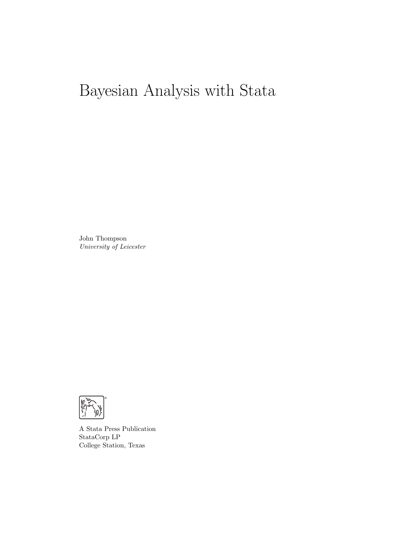# Bayesian Analysis with Stata

John Thompson University of Leicester



A Stata Press Publication StataCorp LP College Station, Texas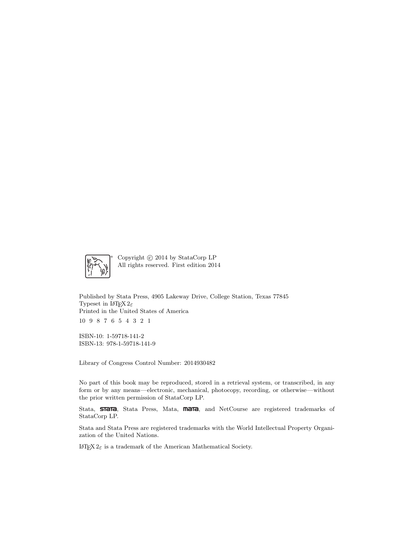

Copyright  $\odot$  2014 by StataCorp LP All rights reserved. First edition 2014

Published by Stata Press, 4905 Lakeway Drive, College Station, Texas 77845 Typeset in  $\mathbb{H}\Gamma\gamma X\,2\varepsilon$ Printed in the United States of America 10 9 8 7 6 5 4 3 2 1

ISBN-10: 1-59718-141-2 ISBN-13: 978-1-59718-141-9

Library of Congress Control Number: 2014930482

No part of this book may be reproduced, stored in a retrieval system, or transcribed, in any form or by any means—electronic, mechanical, photocopy, recording, or otherwise—without the prior written permission of StataCorp LP.

Stata, **STaTa**, Stata Press, Mata, **mata**, and NetCourse are registered trademarks of StataCorp LP.

Stata and Stata Press are registered trademarks with the World Intellectual Property Organization of the United Nations.

 $\mathbb{F}\to \mathbb{F}$ 2 $\varepsilon$  is a trademark of the American Mathematical Society.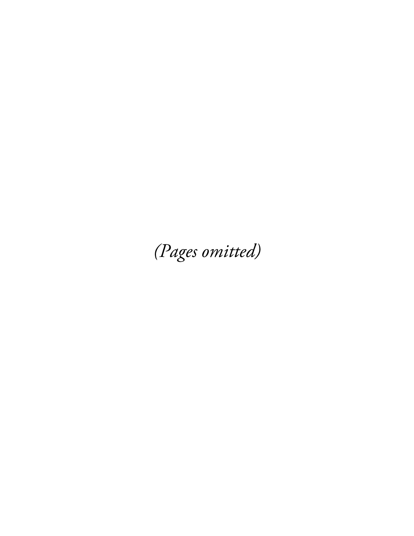(Pages omitted)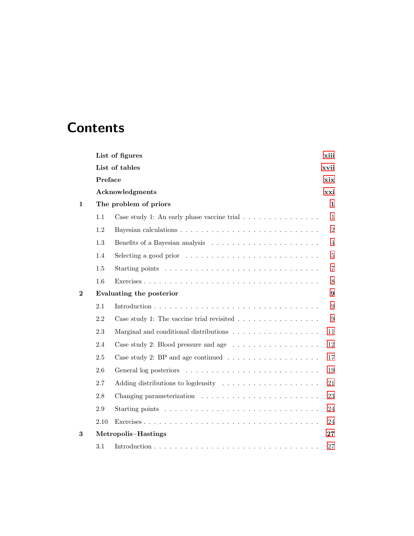# **Contents**

|              | List of figures          |                                                                                         |                  |
|--------------|--------------------------|-----------------------------------------------------------------------------------------|------------------|
|              | List of tables           |                                                                                         | xvii             |
|              | Preface                  |                                                                                         | xix              |
|              | Acknowledgments          |                                                                                         | xxi              |
| $\mathbf{1}$ | The problem of priors    |                                                                                         |                  |
|              | 1.1                      | Case study 1: An early phase vaccine trial $\ldots \ldots \ldots \ldots \ldots$         | $\mathbf{1}$     |
|              | 1.2                      |                                                                                         | $\overline{2}$   |
|              | 1.3                      |                                                                                         | $\overline{4}$   |
|              | 1.4                      | Selecting a good prior $\ldots \ldots \ldots \ldots \ldots \ldots \ldots \ldots$        | $\overline{5}$   |
|              | 1.5                      |                                                                                         | $\overline{7}$   |
|              | 1.6                      |                                                                                         | 8                |
| $\mathbf{2}$ | Evaluating the posterior |                                                                                         |                  |
|              | 2.1                      |                                                                                         | 9                |
|              | 2.2                      | Case study 1: The vaccine trial revisited $\ldots \ldots \ldots \ldots \ldots$          | $\boldsymbol{9}$ |
|              | 2.3                      |                                                                                         | 11               |
|              | 2.4                      | Case study 2: Blood pressure and age $\dots \dots \dots \dots \dots \dots$              | 12               |
|              | 2.5                      | Case study 2: BP and age continued $\ldots \ldots \ldots \ldots \ldots \ldots$          | 17               |
|              | 2.6                      |                                                                                         | 19               |
|              | 2.7                      |                                                                                         | 21               |
|              | 2.8                      | Changing parameterization $\ldots \ldots \ldots \ldots \ldots \ldots \ldots$            | 23               |
|              | $2.9\,$                  | Starting points $\ldots \ldots \ldots \ldots \ldots \ldots \ldots \ldots \ldots \ldots$ | 24               |
|              | 2.10                     |                                                                                         | 24               |
| 3            |                          | Metropolis-Hastings                                                                     | 27               |
|              | 3.1                      |                                                                                         | 27               |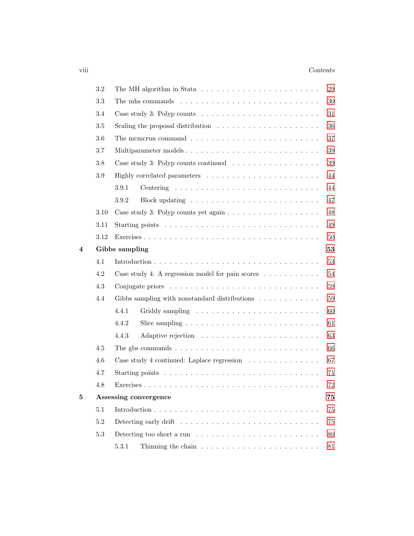### viii *Contents*

|   | $\!3.2\!$ | The MH algorithm in Stata $\dots \dots \dots \dots \dots \dots \dots \dots \dots$        | 29     |
|---|-----------|------------------------------------------------------------------------------------------|--------|
|   | 3.3       | The mhs commands $\ldots \ldots \ldots \ldots \ldots \ldots \ldots \ldots \ldots$        | 30     |
|   | 3.4       |                                                                                          | 31     |
|   | 3.5       | Scaling the proposal distribution $\ldots \ldots \ldots \ldots \ldots \ldots$            | 36     |
|   | 3.6       |                                                                                          | 37     |
|   | 3.7       | Multiparameter models                                                                    | 39     |
|   | 3.8       | Case study 3: Polyp counts continued $\ldots \ldots \ldots \ldots \ldots$                | $39\,$ |
|   | 3.9       |                                                                                          | 44     |
|   |           | 3.9.1                                                                                    | 44     |
|   |           | 3.9.2                                                                                    | 47     |
|   | 3.10      |                                                                                          | 48     |
|   | 3.11      | Starting points $\ldots \ldots \ldots \ldots \ldots \ldots \ldots \ldots \ldots \ldots$  | 49     |
|   | 3.12      |                                                                                          | 50     |
| 4 |           | Gibbs sampling                                                                           | 53     |
|   | 4.1       |                                                                                          | 53     |
|   | 4.2       | Case study 4: A regression model for pain scores $\dots \dots \dots$                     | 54     |
|   | 4.3       |                                                                                          | 59     |
|   | 4.4       | Gibbs sampling with nonstandard distributions $\ldots \ldots \ldots \ldots$              | 59     |
|   |           | 4.4.1                                                                                    | 60     |
|   |           | 4.4.2<br>Slice sampling $\ldots \ldots \ldots \ldots \ldots \ldots \ldots \ldots$        | 61     |
|   |           | 4.4.3                                                                                    | 63     |
|   | $4.5\,$   | The gbs commands $\ldots \ldots \ldots \ldots \ldots \ldots \ldots \ldots \ldots \ldots$ | 66     |
|   | 4.6       | Case study 4 continued: Laplace regression                                               | 67     |
|   | 4.7       |                                                                                          | 71     |
|   | 4.8       |                                                                                          | 72     |
| 5 |           | Assessing convergence                                                                    | 75     |
|   | 5.1       |                                                                                          | 75     |
|   | $5.2\,$   |                                                                                          | 75     |
|   | 5.3       | Detecting too short a run $\dots \dots \dots \dots \dots \dots \dots \dots \dots$        | 80     |
|   |           | 5.3.1                                                                                    | 81     |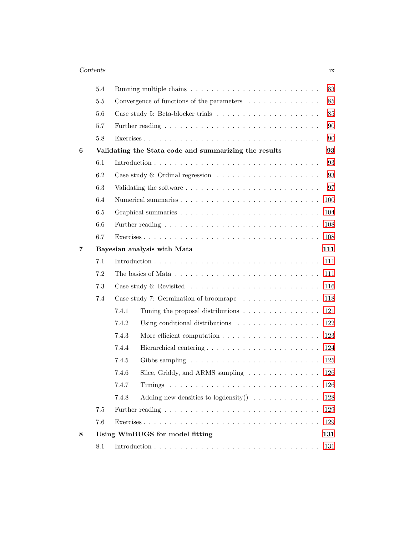### *Contents* ix

|   | 5.4 | 83                                                                                            |
|---|-----|-----------------------------------------------------------------------------------------------|
|   | 5.5 | Convergence of functions of the parameters<br>85                                              |
|   | 5.6 | 85                                                                                            |
|   | 5.7 | 90                                                                                            |
|   | 5.8 | 90                                                                                            |
| 6 |     | Validating the Stata code and summarizing the results<br>93                                   |
|   | 6.1 | 93                                                                                            |
|   | 6.2 | 93                                                                                            |
|   | 6.3 | 97                                                                                            |
|   | 6.4 | 100                                                                                           |
|   | 6.5 | 104                                                                                           |
|   | 6.6 | 108                                                                                           |
|   | 6.7 | 108                                                                                           |
| 7 |     | Bayesian analysis with Mata<br>111                                                            |
|   | 7.1 | 111                                                                                           |
|   | 7.2 | 111                                                                                           |
|   | 7.3 | 116                                                                                           |
|   | 7.4 | Case study 7: Germination of broomrape<br>118                                                 |
|   |     | 7.4.1<br>Tuning the proposal distributions<br>121                                             |
|   |     | 7.4.2<br>Using conditional distributions $\ldots \ldots \ldots \ldots \ldots$<br>122          |
|   |     | 7.4.3<br>123<br>More efficient computation $\ldots \ldots \ldots \ldots \ldots \ldots \ldots$ |
|   |     | 7.4.4<br>124                                                                                  |
|   |     | 7.4.5<br>125                                                                                  |
|   |     | 7.4.6<br>Slice, Griddy, and ARMS sampling $\dots \dots \dots \dots \dots$<br>126              |
|   |     | 7.4.7<br>126                                                                                  |
|   |     | Adding new densities to logdensity() $\ldots \ldots \ldots \ldots$<br>7.4.8<br>128            |
|   | 7.5 | 129                                                                                           |
|   | 7.6 | 129                                                                                           |
| 8 |     | Using WinBUGS for model fitting<br>131                                                        |
|   | 8.1 | 131                                                                                           |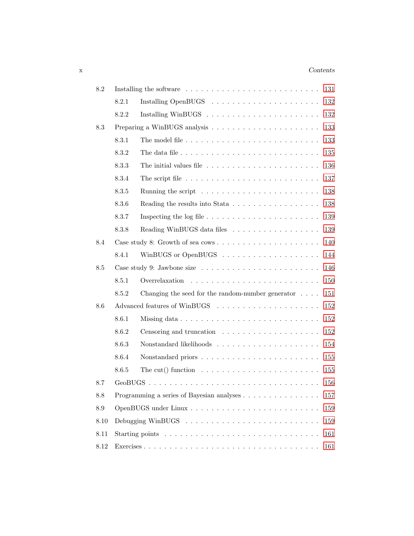### x *Contents*

| 8.2             |       | 131                                                                                            |
|-----------------|-------|------------------------------------------------------------------------------------------------|
|                 | 8.2.1 | 132                                                                                            |
|                 | 8.2.2 | 132                                                                                            |
| 8.3             |       | 133                                                                                            |
|                 | 8.3.1 | 133                                                                                            |
|                 | 8.3.2 | The data file $\ldots \ldots \ldots \ldots \ldots \ldots \ldots \ldots \ldots$<br>135          |
|                 | 8.3.3 | 136                                                                                            |
|                 | 8.3.4 | The script file $\ldots \ldots \ldots \ldots \ldots \ldots \ldots \ldots \ldots$<br>137        |
|                 | 8.3.5 | Running the script $\ldots \ldots \ldots \ldots \ldots \ldots \ldots$<br>138                   |
|                 | 8.3.6 | 138                                                                                            |
|                 | 8.3.7 | 139                                                                                            |
|                 | 8.3.8 | Reading WinBUGS data files<br>139                                                              |
| 8.4             |       | Case study 8: Growth of sea cows $\dots \dots \dots \dots \dots \dots \dots \dots$<br>140      |
|                 | 8.4.1 | 144                                                                                            |
| 8.5             |       | 146                                                                                            |
|                 | 8.5.1 | 150                                                                                            |
|                 | 8.5.2 | Changing the seed for the random-number generator $\ldots$ .<br>151                            |
| 8.6             |       | 152                                                                                            |
|                 | 8.6.1 | Missing data<br>152                                                                            |
|                 | 8.6.2 | 152                                                                                            |
|                 | 8.6.3 | 154                                                                                            |
|                 | 8.6.4 | 155                                                                                            |
|                 | 8.6.5 | The cut() function $\ldots \ldots \ldots \ldots \ldots \ldots \ldots \ldots$<br>155            |
| 8.7             |       | 156                                                                                            |
| 8.8             |       | Programming a series of Bayesian analyses<br>157                                               |
| $\!\!\!\!\!8.9$ |       | 159                                                                                            |
| 8.10            |       | 159                                                                                            |
| 8.11            |       | Starting points $\ldots \ldots \ldots \ldots \ldots \ldots \ldots \ldots \ldots \ldots$<br>161 |
| 8.12            |       | 161                                                                                            |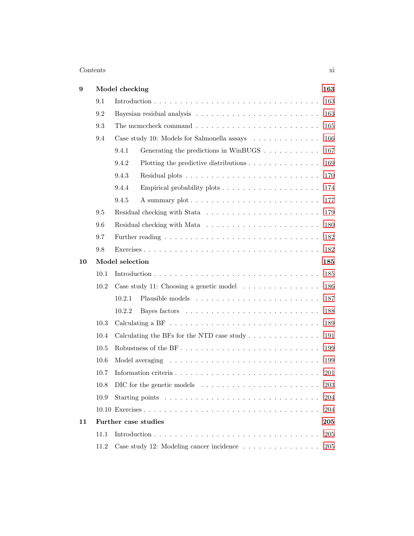### *Contents* xi

| 9  |      | Model checking                                                                           | 163         |
|----|------|------------------------------------------------------------------------------------------|-------------|
|    | 9.1  |                                                                                          | 163         |
|    | 9.2  |                                                                                          | 163         |
|    | 9.3  |                                                                                          | 165         |
|    | 9.4  | Case study 10: Models for Salmonella assays                                              | 166         |
|    |      | 9.4.1                                                                                    | 167         |
|    |      | 9.4.2<br>Plotting the predictive distributions $\ldots \ldots \ldots \ldots \ldots$      | 169         |
|    |      | 9.4.3                                                                                    | 170         |
|    |      | 9.4.4                                                                                    | 174         |
|    |      | 9.4.5                                                                                    | 177         |
|    | 9.5  |                                                                                          | 179         |
|    | 9.6  |                                                                                          | 180         |
|    | 9.7  |                                                                                          | 182         |
|    | 9.8  |                                                                                          | 182         |
| 10 |      | Model selection                                                                          | 185         |
|    | 10.1 |                                                                                          | 185         |
|    | 10.2 | Case study 11: Choosing a genetic model $\ldots \ldots \ldots \ldots$                    | 186         |
|    |      | 10.2.1                                                                                   | 187         |
|    |      | 10.2.2                                                                                   | 188         |
|    | 10.3 | Calculating a BF $\ldots \ldots \ldots \ldots \ldots \ldots \ldots \ldots \ldots \ldots$ | 189         |
|    | 10.4 | Calculating the BFs for the NTD case study $\ldots \ldots \ldots \ldots$                 | 191         |
|    | 10.5 | Robustness of the BF                                                                     | 199         |
|    | 10.6 |                                                                                          | 199         |
|    | 10.7 |                                                                                          | 201         |
|    | 10.8 | DIC for the genetic models $\dots \dots \dots \dots \dots \dots \dots \dots \dots$       | 203         |
|    | 10.9 |                                                                                          | 204         |
|    |      |                                                                                          | 204         |
| 11 |      | Further case studies                                                                     | ${\bf 205}$ |
|    | 11.1 |                                                                                          | 205         |
|    | 11.2 | Case study 12: Modeling cancer incidence                                                 | <b>205</b>  |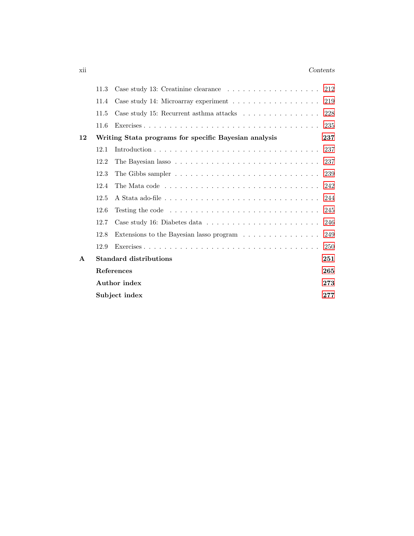### xii *Contents*

|    | 11.3              |                                                                                                |     |
|----|-------------------|------------------------------------------------------------------------------------------------|-----|
|    | 11.4              | Case study 14: Microarray experiment 219                                                       |     |
|    | 11.5              | Case study 15: Recurrent asthma attacks 228                                                    |     |
|    | 11.6              |                                                                                                | 235 |
| 12 |                   | Writing Stata programs for specific Bayesian analysis                                          | 237 |
|    | 12.1              |                                                                                                |     |
|    | 12.2              | The Bayesian lasso $\ldots \ldots \ldots \ldots \ldots \ldots \ldots \ldots \ldots \ldots 237$ |     |
|    | 12.3              | The Gibbs sampler $\ldots \ldots \ldots \ldots \ldots \ldots \ldots \ldots \ldots 239$         |     |
|    | 12.4              | The Mata code $\ldots \ldots \ldots \ldots \ldots \ldots \ldots \ldots \ldots \ldots$          |     |
|    | 12.5              |                                                                                                | 244 |
|    | 12.6              | Testing the code $\ldots \ldots \ldots \ldots \ldots \ldots \ldots \ldots \ldots \ldots$       | 245 |
|    | 12.7              |                                                                                                | 246 |
|    | 12.8              | Extensions to the Bayesian lasso program 249                                                   |     |
|    | 12.9              |                                                                                                |     |
| A  |                   | <b>Standard distributions</b>                                                                  | 251 |
|    | <b>References</b> |                                                                                                | 265 |
|    | Author index      |                                                                                                |     |
|    | Subject index     |                                                                                                |     |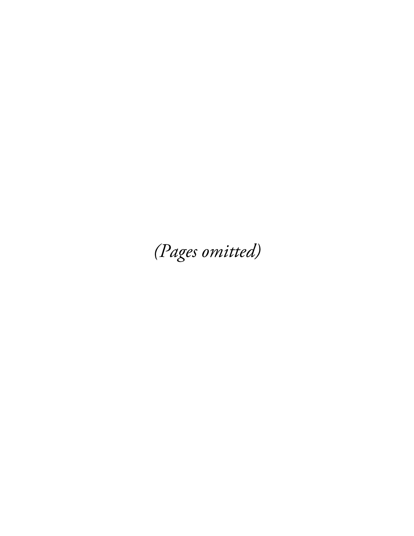(Pages omitted)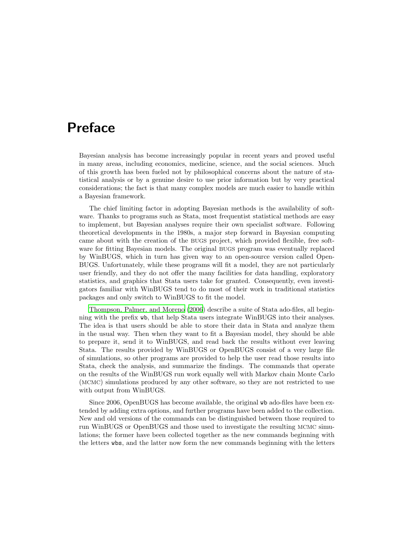## Preface

Bayesian analysis has become increasingly popular in recent years and proved useful in many areas, including economics, medicine, science, and the social sciences. Much of this growth has been fueled not by philosophical concerns about the nature of statistical analysis or by a genuine desire to use prior information but by very practical considerations; the fact is that many complex models are much easier to handle within a Bayesian framework.

The chief limiting factor in adopting Bayesian methods is the availability of software. Thanks to programs such as Stata, most frequentist statistical methods are easy to implement, but Bayesian analyses require their own specialist software. Following theoretical developments in the 1980s, a major step forward in Bayesian computing came about with the creation of the BUGS project, which provided flexible, free software for fitting Bayesian models. The original BUGS program was eventually replaced by WinBUGS, which in turn has given way to an open-source version called Open-BUGS. Unfortunately, while these programs will fit a model, they are not particularly user friendly, and they do not offer the many facilities for data handling, exploratory statistics, and graphics that Stata users take for granted. Consequently, even investigators familiar with WinBUGS tend to do most of their work in traditional statistics packages and only switch to WinBUGS to fit the model.

Thompson, Palmer, and Moreno (2006) describe a suite of Stata ado-files, all beginning with the prefix wb, that help Stata users integrate WinBUGS into their analyses. The idea is that users should be able to store their data in Stata and analyze them in the usual way. Then when they want to fit a Bayesian model, they should be able to prepare it, send it to WinBUGS, and read back the results without ever leaving Stata. The results provided by WinBUGS or OpenBUGS consist of a very large file of simulations, so other programs are provided to help the user read those results into Stata, check the analysis, and summarize the findings. The commands that operate on the results of the WinBUGS run work equally well with Markov chain Monte Carlo (MCMC) simulations produced by any other software, so they are not restricted to use with output from WinBUGS.

Since 2006, OpenBUGS has become available, the original wb ado-files have been extended by adding extra options, and further programs have been added to the collection. New and old versions of the commands can be distinguished between those required to run WinBUGS or OpenBUGS and those used to investigate the resulting MCMC simulations; the former have been collected together as the new commands beginning with the letters wbs, and the latter now form the new commands beginning with the letters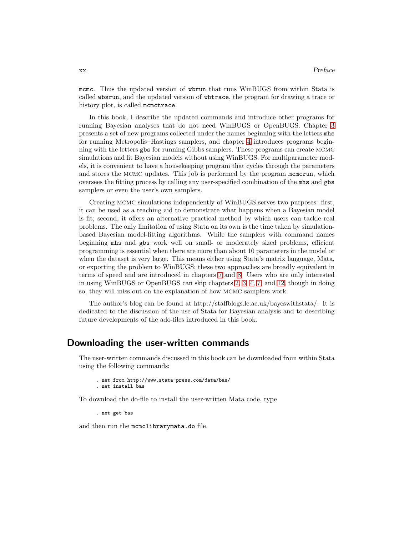mcmc. Thus the updated version of wbrun that runs WinBUGS from within Stata is called wbsrun, and the updated version of wbtrace, the program for drawing a trace or history plot, is called mcmctrace.

In this book, I describe the updated commands and introduce other programs for running Bayesian analyses that do not need WinBUGS or OpenBUGS. Chapter 3 presents a set of new programs collected under the names beginning with the letters mhs for running Metropolis–Hastings samplers, and chapter 4 introduces programs beginning with the letters gbs for running Gibbs samplers. These programs can create MCMC simulations and fit Bayesian models without using WinBUGS. For multiparameter models, it is convenient to have a housekeeping program that cycles through the parameters and stores the MCMC updates. This job is performed by the program mcmcrun, which oversees the fitting process by calling any user-specified combination of the mhs and gbs samplers or even the user's own samplers.

Creating MCMC simulations independently of WinBUGS serves two purposes: first, it can be used as a teaching aid to demonstrate what happens when a Bayesian model is fit; second, it offers an alternative practical method by which users can tackle real problems. The only limitation of using Stata on its own is the time taken by simulationbased Bayesian model-fitting algorithms. While the samplers with command names beginning mhs and gbs work well on small- or moderately sized problems, efficient programming is essential when there are more than about 10 parameters in the model or when the dataset is very large. This means either using Stata's matrix language, Mata, or exporting the problem to WinBUGS; these two approaches are broadly equivalent in terms of speed and are introduced in chapters 7 and 8. Users who are only interested in using WinBUGS or OpenBUGS can skip chapters 2, 3, 4, 7, and 12, though in doing so, they will miss out on the explanation of how MCMC samplers work.

The author's blog can be found at http://staffblogs.le.ac.uk/bayeswithstata/. It is dedicated to the discussion of the use of Stata for Bayesian analysis and to describing future developments of the ado-files introduced in this book.

### Downloading the user-written commands

The user-written commands discussed in this book can be downloaded from within Stata using the following commands:

```
. net from http://www.stata-press.com/data/bas/
```

```
. net install bas
```
To download the do-file to install the user-written Mata code, type

```
. net get bas
```
and then run the mcmclibrarymata.do file.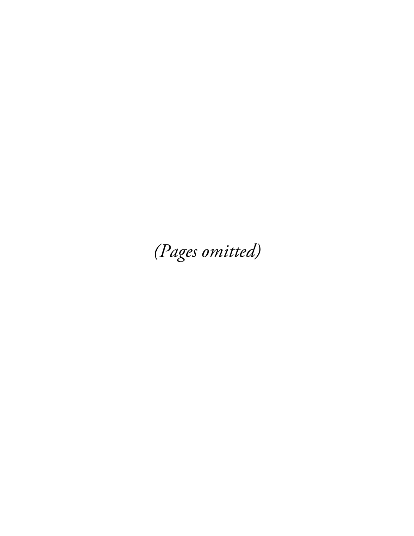(Pages omitted)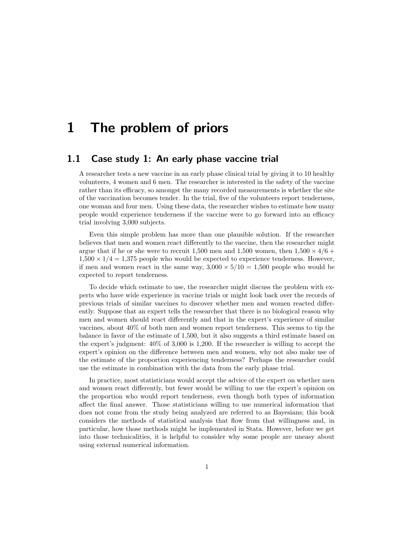## 1 The problem of priors

### 1.1 Case study 1: An early phase vaccine trial

A researcher tests a new vaccine in an early phase clinical trial by giving it to 10 healthy volunteers, 4 women and 6 men. The researcher is interested in the safety of the vaccine rather than its efficacy, so amongst the many recorded measurements is whether the site of the vaccination becomes tender. In the trial, five of the volunteers report tenderness, one woman and four men. Using these data, the researcher wishes to estimate how many people would experience tenderness if the vaccine were to go forward into an efficacy trial involving 3,000 subjects.

Even this simple problem has more than one plausible solution. If the researcher believes that men and women react differently to the vaccine, then the researcher might argue that if he or she were to recruit 1,500 men and 1,500 women, then  $1,500 \times 4/6 +$  $1,500 \times 1/4 = 1,375$  people who would be expected to experience tenderness. However, if men and women react in the same way,  $3,000 \times 5/10 = 1,500$  people who would be expected to report tenderness.

To decide which estimate to use, the researcher might discuss the problem with experts who have wide experience in vaccine trials or might look back over the records of previous trials of similar vaccines to discover whether men and women reacted differently. Suppose that an expert tells the researcher that there is no biological reason why men and women should react differently and that in the expert's experience of similar vaccines, about 40% of both men and women report tenderness. This seems to tip the balance in favor of the estimate of 1,500, but it also suggests a third estimate based on the expert's judgment: 40% of 3,000 is 1,200. If the researcher is willing to accept the expert's opinion on the difference between men and women, why not also make use of the estimate of the proportion experiencing tenderness? Perhaps the researcher could use the estimate in combination with the data from the early phase trial.

In practice, most statisticians would accept the advice of the expert on whether men and women react differently, but fewer would be willing to use the expert's opinion on the proportion who would report tenderness, even though both types of information affect the final answer. Those statisticians willing to use numerical information that does not come from the study being analyzed are referred to as Bayesians; this book considers the methods of statistical analysis that flow from that willingness and, in particular, how those methods might be implemented in Stata. However, before we get into those technicalities, it is helpful to consider why some people are uneasy about using external numerical information.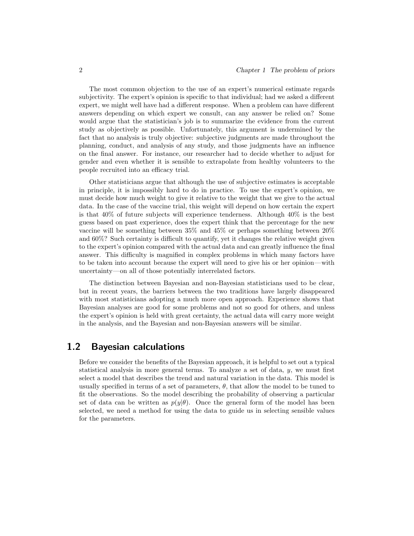The most common objection to the use of an expert's numerical estimate regards subjectivity. The expert's opinion is specific to that individual; had we asked a different expert, we might well have had a different response. When a problem can have different answers depending on which expert we consult, can any answer be relied on? Some would argue that the statistician's job is to summarize the evidence from the current study as objectively as possible. Unfortunately, this argument is undermined by the fact that no analysis is truly objective: subjective judgments are made throughout the planning, conduct, and analysis of any study, and those judgments have an influence on the final answer. For instance, our researcher had to decide whether to adjust for gender and even whether it is sensible to extrapolate from healthy volunteers to the people recruited into an efficacy trial.

Other statisticians argue that although the use of subjective estimates is acceptable in principle, it is impossibly hard to do in practice. To use the expert's opinion, we must decide how much weight to give it relative to the weight that we give to the actual data. In the case of the vaccine trial, this weight will depend on how certain the expert is that 40% of future subjects will experience tenderness. Although 40% is the best guess based on past experience, does the expert think that the percentage for the new vaccine will be something between 35% and 45% or perhaps something between 20% and 60%? Such certainty is difficult to quantify, yet it changes the relative weight given to the expert's opinion compared with the actual data and can greatly influence the final answer. This difficulty is magnified in complex problems in which many factors have to be taken into account because the expert will need to give his or her opinion—with uncertainty—on all of those potentially interrelated factors.

The distinction between Bayesian and non-Bayesian statisticians used to be clear, but in recent years, the barriers between the two traditions have largely disappeared with most statisticians adopting a much more open approach. Experience shows that Bayesian analyses are good for some problems and not so good for others, and unless the expert's opinion is held with great certainty, the actual data will carry more weight in the analysis, and the Bayesian and non-Bayesian answers will be similar.

### 1.2 Bayesian calculations

Before we consider the benefits of the Bayesian approach, it is helpful to set out a typical statistical analysis in more general terms. To analyze a set of data,  $y$ , we must first select a model that describes the trend and natural variation in the data. This model is usually specified in terms of a set of parameters,  $\theta$ , that allow the model to be tuned to fit the observations. So the model describing the probability of observing a particular set of data can be written as  $p(y|\theta)$ . Once the general form of the model has been selected, we need a method for using the data to guide us in selecting sensible values for the parameters.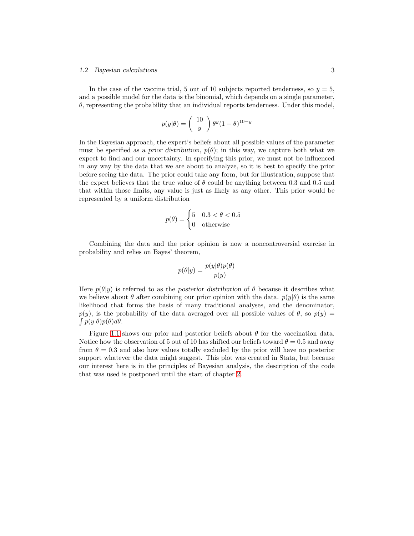#### *1.2 Bayesian calculations* 3

In the case of the vaccine trial, 5 out of 10 subjects reported tenderness, so  $y = 5$ , and a possible model for the data is the binomial, which depends on a single parameter,  $\theta$ , representing the probability that an individual reports tenderness. Under this model,

$$
p(y|\theta) = {10 \choose y} \theta^y (1-\theta)^{10-y}
$$

In the Bayesian approach, the expert's beliefs about all possible values of the parameter must be specified as a *prior distribution*,  $p(\theta)$ ; in this way, we capture both what we expect to find and our uncertainty. In specifying this prior, we must not be influenced in any way by the data that we are about to analyze, so it is best to specify the prior before seeing the data. The prior could take any form, but for illustration, suppose that the expert believes that the true value of  $\theta$  could be anything between 0.3 and 0.5 and that within those limits, any value is just as likely as any other. This prior would be represented by a uniform distribution

$$
p(\theta) = \begin{cases} 5 & 0.3 < \theta < 0.5 \\ 0 & \text{otherwise} \end{cases}
$$

Combining the data and the prior opinion is now a noncontroversial exercise in probability and relies on Bayes' theorem,

$$
p(\theta|y) = \frac{p(y|\theta)p(\theta)}{p(y)}
$$

Here  $p(\theta|y)$  is referred to as the *posterior distribution* of  $\theta$  because it describes what we believe about  $\theta$  after combining our prior opinion with the data.  $p(y|\theta)$  is the same likelihood that forms the basis of many traditional analyses, and the denominator,  $p(y)$ , is the probability of the data averaged over all possible values of  $\theta$ , so  $p(y)$  =  $\int p(y|\theta)p(\theta)d\theta.$ 

Figure 1.1 shows our prior and posterior beliefs about  $\theta$  for the vaccination data. Notice how the observation of 5 out of 10 has shifted our beliefs toward  $\theta = 0.5$  and away from  $\theta = 0.3$  and also how values totally excluded by the prior will have no posterior support whatever the data might suggest. This plot was created in Stata, but because our interest here is in the principles of Bayesian analysis, the description of the code that was used is postponed until the start of chapter 2.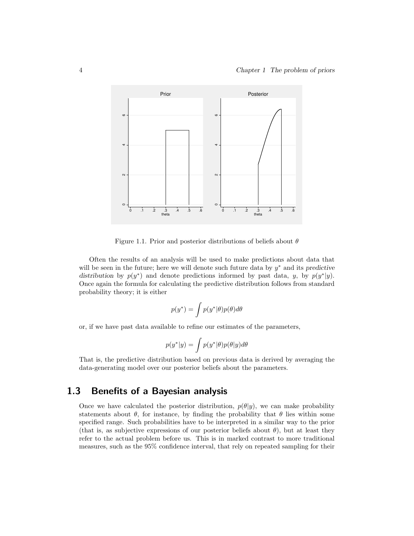

Figure 1.1. Prior and posterior distributions of beliefs about  $\theta$ 

Often the results of an analysis will be used to make predictions about data that will be seen in the future; here we will denote such future data by y <sup>∗</sup> and its *predictive* distribution by  $p(y^*)$  and denote predictions informed by past data, y, by  $p(y^*|y)$ . Once again the formula for calculating the predictive distribution follows from standard probability theory; it is either

$$
p(y^*) = \int p(y^*|\theta)p(\theta)d\theta
$$

or, if we have past data available to refine our estimates of the parameters,

$$
p(y^*|y) = \int p(y^*|\theta)p(\theta|y)d\theta
$$

That is, the predictive distribution based on previous data is derived by averaging the data-generating model over our posterior beliefs about the parameters.

### 1.3 Benefits of a Bayesian analysis

Once we have calculated the posterior distribution,  $p(\theta|y)$ , we can make probability statements about  $\theta$ , for instance, by finding the probability that  $\theta$  lies within some specified range. Such probabilities have to be interpreted in a similar way to the prior (that is, as subjective expressions of our posterior beliefs about  $\theta$ ), but at least they refer to the actual problem before us. This is in marked contrast to more traditional measures, such as the 95% confidence interval, that rely on repeated sampling for their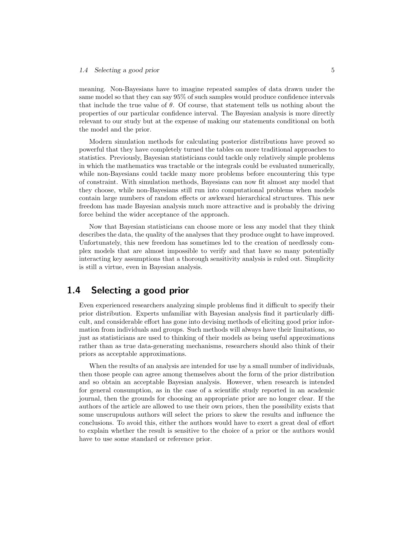meaning. Non-Bayesians have to imagine repeated samples of data drawn under the same model so that they can say 95% of such samples would produce confidence intervals that include the true value of  $\theta$ . Of course, that statement tells us nothing about the properties of our particular confidence interval. The Bayesian analysis is more directly relevant to our study but at the expense of making our statements conditional on both the model and the prior.

Modern simulation methods for calculating posterior distributions have proved so powerful that they have completely turned the tables on more traditional approaches to statistics. Previously, Bayesian statisticians could tackle only relatively simple problems in which the mathematics was tractable or the integrals could be evaluated numerically, while non-Bayesians could tackle many more problems before encountering this type of constraint. With simulation methods, Bayesians can now fit almost any model that they choose, while non-Bayesians still run into computational problems when models contain large numbers of random effects or awkward hierarchical structures. This new freedom has made Bayesian analysis much more attractive and is probably the driving force behind the wider acceptance of the approach.

Now that Bayesian statisticians can choose more or less any model that they think describes the data, the quality of the analyses that they produce ought to have improved. Unfortunately, this new freedom has sometimes led to the creation of needlessly complex models that are almost impossible to verify and that have so many potentially interacting key assumptions that a thorough sensitivity analysis is ruled out. Simplicity is still a virtue, even in Bayesian analysis.

### 1.4 Selecting a good prior

Even experienced researchers analyzing simple problems find it difficult to specify their prior distribution. Experts unfamiliar with Bayesian analysis find it particularly difficult, and considerable effort has gone into devising methods of eliciting good prior information from individuals and groups. Such methods will always have their limitations, so just as statisticians are used to thinking of their models as being useful approximations rather than as true data-generating mechanisms, researchers should also think of their priors as acceptable approximations.

When the results of an analysis are intended for use by a small number of individuals, then those people can agree among themselves about the form of the prior distribution and so obtain an acceptable Bayesian analysis. However, when research is intended for general consumption, as in the case of a scientific study reported in an academic journal, then the grounds for choosing an appropriate prior are no longer clear. If the authors of the article are allowed to use their own priors, then the possibility exists that some unscrupulous authors will select the priors to skew the results and influence the conclusions. To avoid this, either the authors would have to exert a great deal of effort to explain whether the result is sensitive to the choice of a prior or the authors would have to use some standard or reference prior.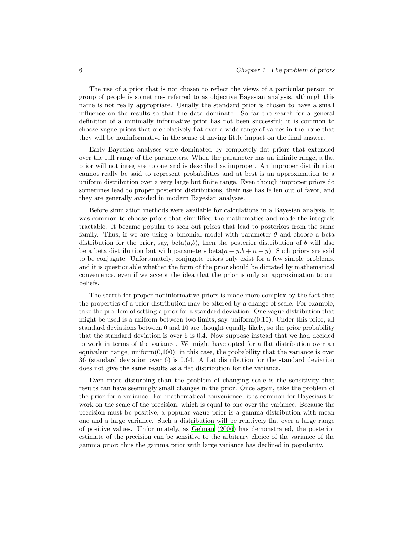The use of a prior that is not chosen to reflect the views of a particular person or group of people is sometimes referred to as objective Bayesian analysis, although this name is not really appropriate. Usually the standard prior is chosen to have a small influence on the results so that the data dominate. So far the search for a general definition of a minimally informative prior has not been successful; it is common to choose vague priors that are relatively flat over a wide range of values in the hope that they will be noninformative in the sense of having little impact on the final answer.

Early Bayesian analyses were dominated by completely flat priors that extended over the full range of the parameters. When the parameter has an infinite range, a flat prior will not integrate to one and is described as improper. An improper distribution cannot really be said to represent probabilities and at best is an approximation to a uniform distribution over a very large but finite range. Even though improper priors do sometimes lead to proper posterior distributions, their use has fallen out of favor, and they are generally avoided in modern Bayesian analyses.

Before simulation methods were available for calculations in a Bayesian analysis, it was common to choose priors that simplified the mathematics and made the integrals tractable. It became popular to seek out priors that lead to posteriors from the same family. Thus, if we are using a binomial model with parameter  $\theta$  and choose a beta distribution for the prior, say, beta(a,b), then the posterior distribution of  $\theta$  will also be a beta distribution but with parameters beta $(a + y, b + n - y)$ . Such priors are said to be conjugate. Unfortunately, conjugate priors only exist for a few simple problems, and it is questionable whether the form of the prior should be dictated by mathematical convenience, even if we accept the idea that the prior is only an approximation to our beliefs.

The search for proper noninformative priors is made more complex by the fact that the properties of a prior distribution may be altered by a change of scale. For example, take the problem of setting a prior for a standard deviation. One vague distribution that might be used is a uniform between two limits, say, uniform $(0,10)$ . Under this prior, all standard deviations between 0 and 10 are thought equally likely, so the prior probability that the standard deviation is over 6 is 0.4. Now suppose instead that we had decided to work in terms of the variance. We might have opted for a flat distribution over an equivalent range, uniform $(0,100)$ ; in this case, the probability that the variance is over 36 (standard deviation over 6) is 0.64. A flat distribution for the standard deviation does not give the same results as a flat distribution for the variance.

Even more disturbing than the problem of changing scale is the sensitivity that results can have seemingly small changes in the prior. Once again, take the problem of the prior for a variance. For mathematical convenience, it is common for Bayesians to work on the scale of the precision, which is equal to one over the variance. Because the precision must be positive, a popular vague prior is a gamma distribution with mean one and a large variance. Such a distribution will be relatively flat over a large range of positive values. Unfortunately, as Gelman (2006) has demonstrated, the posterior estimate of the precision can be sensitive to the arbitrary choice of the variance of the gamma prior; thus the gamma prior with large variance has declined in popularity.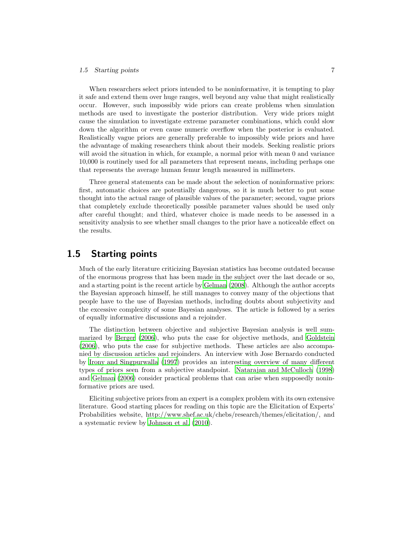#### *1.5 Starting points* 7

When researchers select priors intended to be noninformative, it is tempting to play it safe and extend them over huge ranges, well beyond any value that might realistically occur. However, such impossibly wide priors can create problems when simulation methods are used to investigate the posterior distribution. Very wide priors might cause the simulation to investigate extreme parameter combinations, which could slow down the algorithm or even cause numeric overflow when the posterior is evaluated. Realistically vague priors are generally preferable to impossibly wide priors and have the advantage of making researchers think about their models. Seeking realistic priors will avoid the situation in which, for example, a normal prior with mean 0 and variance 10,000 is routinely used for all parameters that represent means, including perhaps one that represents the average human femur length measured in millimeters.

Three general statements can be made about the selection of noninformative priors: first, automatic choices are potentially dangerous, so it is much better to put some thought into the actual range of plausible values of the parameter; second, vague priors that completely exclude theoretically possible parameter values should be used only after careful thought; and third, whatever choice is made needs to be assessed in a sensitivity analysis to see whether small changes to the prior have a noticeable effect on the results.

### 1.5 Starting points

Much of the early literature criticizing Bayesian statistics has become outdated because of the enormous progress that has been made in the subject over the last decade or so, and a starting point is the recent article by Gelman (2008). Although the author accepts the Bayesian approach himself, he still manages to convey many of the objections that people have to the use of Bayesian methods, including doubts about subjectivity and the excessive complexity of some Bayesian analyses. The article is followed by a series of equally informative discussions and a rejoinder.

The distinction between objective and subjective Bayesian analysis is well summarized by Berger (2006), who puts the case for objective methods, and Goldstein (2006), who puts the case for subjective methods. These articles are also accompanied by discussion articles and rejoinders. An interview with Jose Bernardo conducted by Irony and Singpurwalla (1997) provides an interesting overview of many different types of priors seen from a subjective standpoint. Natarajan and McCulloch (1998) and Gelman (2006) consider practical problems that can arise when supposedly noninformative priors are used.

Eliciting subjective priors from an expert is a complex problem with its own extensive literature. Good starting places for reading on this topic are the Elicitation of Experts' Probabilities website, http://www.shef.ac.uk/chebs/research/themes/elicitation/, and a systematic review by Johnson et al. (2010).